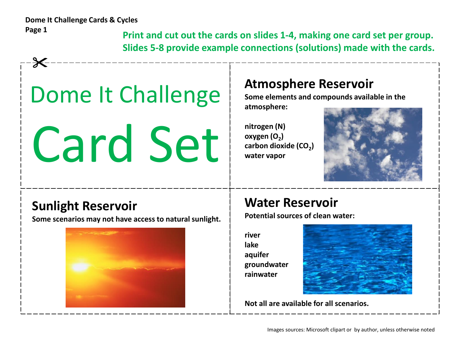$\cancel{\times}$ 

**Print and cut out the cards on slides 1-4, making one card set per group. Slides 5-8 provide example connections (solutions) made with the cards.**

# Dome It Challenge

Card Set

#### **Atmosphere Reservoir**

**Some elements and compounds available in the atmosphere:**

**nitrogen (N) oxygen (O<sup>2</sup> ) carbon dioxide (CO<sup>2</sup> ) water vapor**



### **Sunlight Reservoir**

**Some scenarios may not have access to natural sunlight.**



### **Water Reservoir**

**Potential sources of clean water:**

**river lake aquifer groundwater rainwater**



**Not all are available for all scenarios.**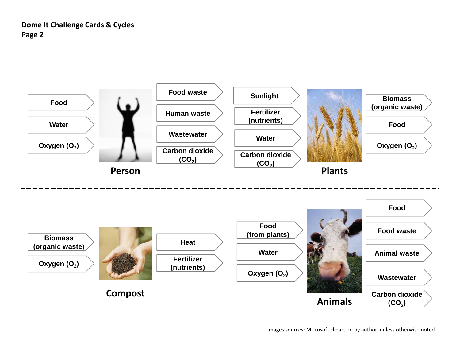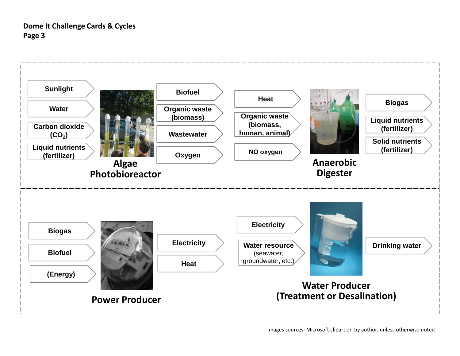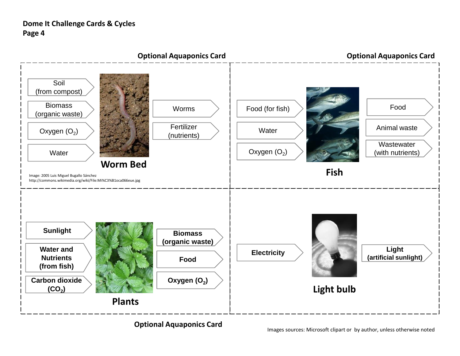

#### **Optional Aquaponics Card**

Images sources: Microsoft clipart or by author, unless otherwise noted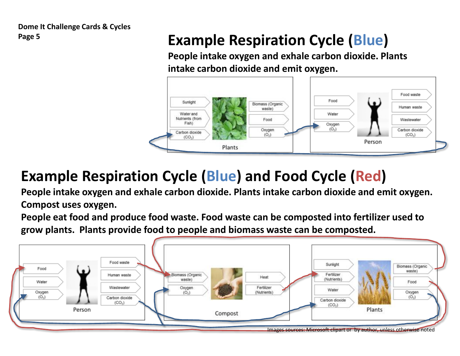## **Page 5 Example Respiration Cycle (Blue)**

**People intake oxygen and exhale carbon dioxide. Plants intake carbon dioxide and emit oxygen.**



# **Example Respiration Cycle (Blue) and Food Cycle (Red)**

**People intake oxygen and exhale carbon dioxide. Plants intake carbon dioxide and emit oxygen. Compost uses oxygen.**

**People eat food and produce food waste. Food waste can be composted into fertilizer used to grow plants. Plants provide food to people and biomass waste can be composted.**

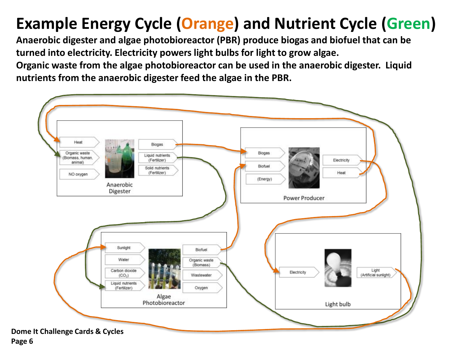# **Example Energy Cycle (Orange) and Nutrient Cycle (Green)**

**Anaerobic digester and algae photobioreactor (PBR) produce biogas and biofuel that can be turned into electricity. Electricity powers light bulbs for light to grow algae.**

**Organic waste from the algae photobioreactor can be used in the anaerobic digester. Liquid nutrients from the anaerobic digester feed the algae in the PBR.**

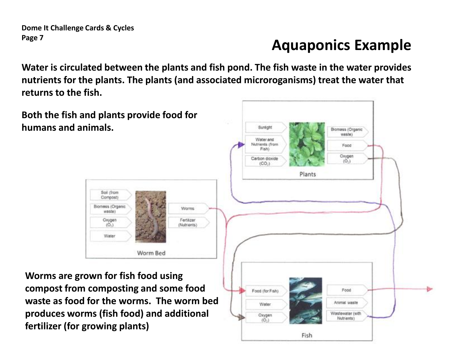### **Aquaponics Example**

**Water is circulated between the plants and fish pond. The fish waste in the water provides nutrients for the plants. The plants (and associated microroganisms) treat the water that returns to the fish.**

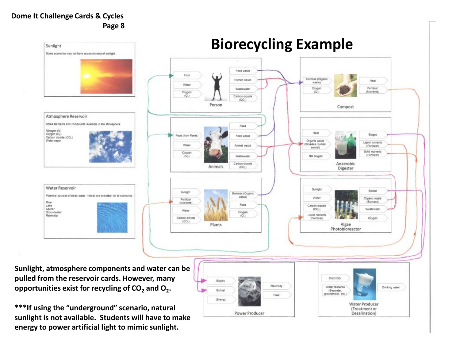

**sunlight is not available. Students will have to make energy to power artificial light to mimic sunlight.**